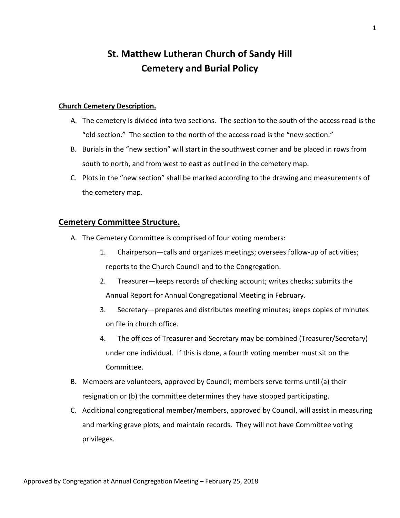# **St. Matthew Lutheran Church of Sandy Hill Cemetery and Burial Policy**

#### **Church Cemetery Description.**

- A. The cemetery is divided into two sections. The section to the south of the access road is the "old section." The section to the north of the access road is the "new section."
- B. Burials in the "new section" will start in the southwest corner and be placed in rows from south to north, and from west to east as outlined in the cemetery map.
- C. Plots in the "new section" shall be marked according to the drawing and measurements of the cemetery map.

## **Cemetery Committee Structure.**

- A. The Cemetery Committee is comprised of four voting members:
	- 1. Chairperson—calls and organizes meetings; oversees follow-up of activities; reports to the Church Council and to the Congregation.
	- 2. Treasurer—keeps records of checking account; writes checks; submits the Annual Report for Annual Congregational Meeting in February.
	- 3. Secretary—prepares and distributes meeting minutes; keeps copies of minutes on file in church office.
	- 4. The offices of Treasurer and Secretary may be combined (Treasurer/Secretary) under one individual. If this is done, a fourth voting member must sit on the Committee.
- B. Members are volunteers, approved by Council; members serve terms until (a) their resignation or (b) the committee determines they have stopped participating.
- C. Additional congregational member/members, approved by Council, will assist in measuring and marking grave plots, and maintain records. They will not have Committee voting privileges.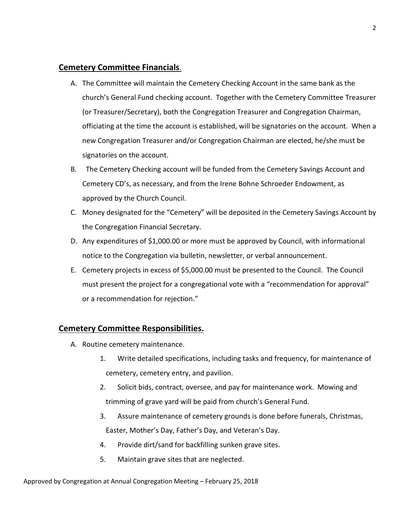# **Cemetery Committee Financials**.

- A. The Committee will maintain the Cemetery Checking Account in the same bank as the church's General Fund checking account. Together with the Cemetery Committee Treasurer (or Treasurer/Secretary), both the Congregation Treasurer and Congregation Chairman, officiating at the time the account is established, will be signatories on the account. When a new Congregation Treasurer and/or Congregation Chairman are elected, he/she must be signatories on the account.
- B. The Cemetery Checking account will be funded from the Cemetery Savings Account and Cemetery CD's, as necessary, and from the Irene Bohne Schroeder Endowment, as approved by the Church Council.
- C. Money designated for the "Cemetery" will be deposited in the Cemetery Savings Account by the Congregation Financial Secretary.
- D. Any expenditures of \$1,000.00 or more must be approved by Council, with informational notice to the Congregation via bulletin, newsletter, or verbal announcement.
- E. Cemetery projects in excess of \$5,000.00 must be presented to the Council. The Council must present the project for a congregational vote with a "recommendation for approval" or a recommendation for rejection."

## **Cemetery Committee Responsibilities.**

- A. Routine cemetery maintenance.
	- 1. Write detailed specifications, including tasks and frequency, for maintenance of cemetery, cemetery entry, and pavilion.
	- 2. Solicit bids, contract, oversee, and pay for maintenance work. Mowing and trimming of grave yard will be paid from church's General Fund.
	- 3. Assure maintenance of cemetery grounds is done before funerals, Christmas, Easter, Mother's Day, Father's Day, and Veteran's Day.
	- 4. Provide dirt/sand for backfilling sunken grave sites.
	- 5. Maintain grave sites that are neglected.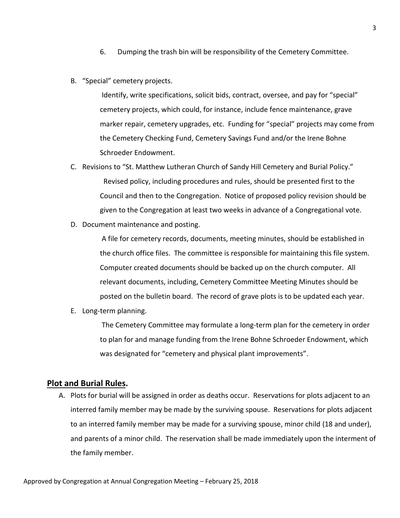- 6. Dumping the trash bin will be responsibility of the Cemetery Committee.
- B. "Special" cemetery projects.

Identify, write specifications, solicit bids, contract, oversee, and pay for "special" cemetery projects, which could, for instance, include fence maintenance, grave marker repair, cemetery upgrades, etc. Funding for "special" projects may come from the Cemetery Checking Fund, Cemetery Savings Fund and/or the Irene Bohne Schroeder Endowment.

- C. Revisions to "St. Matthew Lutheran Church of Sandy Hill Cemetery and Burial Policy." Revised policy, including procedures and rules, should be presented first to the Council and then to the Congregation. Notice of proposed policy revision should be given to the Congregation at least two weeks in advance of a Congregational vote.
- D. Document maintenance and posting.

A file for cemetery records, documents, meeting minutes, should be established in the church office files. The committee is responsible for maintaining this file system. Computer created documents should be backed up on the church computer. All relevant documents, including, Cemetery Committee Meeting Minutes should be posted on the bulletin board. The record of grave plots is to be updated each year.

E. Long-term planning.

The Cemetery Committee may formulate a long-term plan for the cemetery in order to plan for and manage funding from the Irene Bohne Schroeder Endowment, which was designated for "cemetery and physical plant improvements".

#### **Plot and Burial Rules.**

A. Plots for burial will be assigned in order as deaths occur. Reservations for plots adjacent to an interred family member may be made by the surviving spouse. Reservations for plots adjacent to an interred family member may be made for a surviving spouse, minor child (18 and under), and parents of a minor child. The reservation shall be made immediately upon the interment of the family member.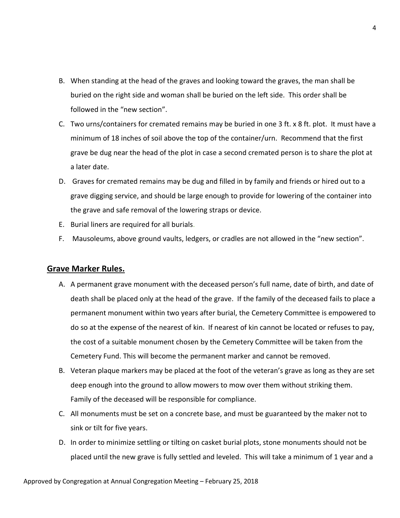- B. When standing at the head of the graves and looking toward the graves, the man shall be buried on the right side and woman shall be buried on the left side. This order shall be followed in the "new section".
- C. Two urns/containers for cremated remains may be buried in one 3 ft. x 8 ft. plot. It must have a minimum of 18 inches of soil above the top of the container/urn. Recommend that the first grave be dug near the head of the plot in case a second cremated person is to share the plot at a later date.
- D. Graves for cremated remains may be dug and filled in by family and friends or hired out to a grave digging service, and should be large enough to provide for lowering of the container into the grave and safe removal of the lowering straps or device.
- E. Burial liners are required for all burials.
- F. Mausoleums, above ground vaults, ledgers, or cradles are not allowed in the "new section".

#### **Grave Marker Rules.**

- A. A permanent grave monument with the deceased person's full name, date of birth, and date of death shall be placed only at the head of the grave. If the family of the deceased fails to place a permanent monument within two years after burial, the Cemetery Committee is empowered to do so at the expense of the nearest of kin. If nearest of kin cannot be located or refuses to pay, the cost of a suitable monument chosen by the Cemetery Committee will be taken from the Cemetery Fund. This will become the permanent marker and cannot be removed.
- B. Veteran plaque markers may be placed at the foot of the veteran's grave as long as they are set deep enough into the ground to allow mowers to mow over them without striking them. Family of the deceased will be responsible for compliance.
- C. All monuments must be set on a concrete base, and must be guaranteed by the maker not to sink or tilt for five years.
- D. In order to minimize settling or tilting on casket burial plots, stone monuments should not be placed until the new grave is fully settled and leveled. This will take a minimum of 1 year and a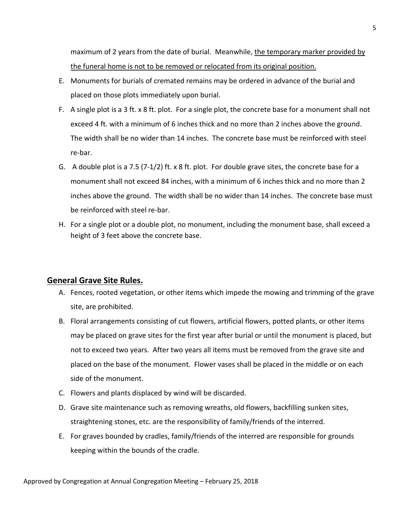maximum of 2 years from the date of burial. Meanwhile, the temporary marker provided by the funeral home is not to be removed or relocated from its original position.

- E. Monuments for burials of cremated remains may be ordered in advance of the burial and placed on those plots immediately upon burial.
- F. A single plot is a 3 ft. x 8 ft. plot. For a single plot, the concrete base for a monument shall not exceed 4 ft. with a minimum of 6 inches thick and no more than 2 inches above the ground. The width shall be no wider than 14 inches. The concrete base must be reinforced with steel re-bar.
- G. A double plot is a 7.5 (7-1/2) ft. x 8 ft. plot. For double grave sites, the concrete base for a monument shall not exceed 84 inches, with a minimum of 6 inches thick and no more than 2 inches above the ground. The width shall be no wider than 14 inches. The concrete base must be reinforced with steel re-bar.
- H. For a single plot or a double plot, no monument, including the monument base, shall exceed a height of 3 feet above the concrete base.

## **General Grave Site Rules.**

- A. Fences, rooted vegetation, or other items which impede the mowing and trimming of the grave site, are prohibited.
- B. Floral arrangements consisting of cut flowers, artificial flowers, potted plants, or other items may be placed on grave sites for the first year after burial or until the monument is placed, but not to exceed two years. After two years all items must be removed from the grave site and placed on the base of the monument. Flower vases shall be placed in the middle or on each side of the monument.
- C. Flowers and plants displaced by wind will be discarded.
- D. Grave site maintenance such as removing wreaths, old flowers, backfilling sunken sites, straightening stones, etc. are the responsibility of family/friends of the interred.
- E. For graves bounded by cradles, family/friends of the interred are responsible for grounds keeping within the bounds of the cradle.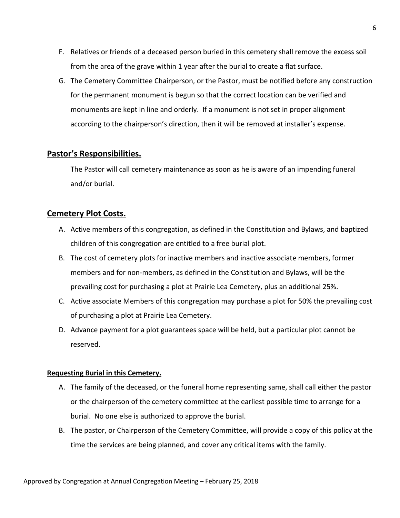- F. Relatives or friends of a deceased person buried in this cemetery shall remove the excess soil from the area of the grave within 1 year after the burial to create a flat surface.
- G. The Cemetery Committee Chairperson, or the Pastor, must be notified before any construction for the permanent monument is begun so that the correct location can be verified and monuments are kept in line and orderly. If a monument is not set in proper alignment according to the chairperson's direction, then it will be removed at installer's expense.

## **Pastor's Responsibilities.**

The Pastor will call cemetery maintenance as soon as he is aware of an impending funeral and/or burial.

## **Cemetery Plot Costs.**

- A. Active members of this congregation, as defined in the Constitution and Bylaws, and baptized children of this congregation are entitled to a free burial plot.
- B. The cost of cemetery plots for inactive members and inactive associate members, former members and for non-members, as defined in the Constitution and Bylaws, will be the prevailing cost for purchasing a plot at Prairie Lea Cemetery, plus an additional 25%.
- C. Active associate Members of this congregation may purchase a plot for 50% the prevailing cost of purchasing a plot at Prairie Lea Cemetery.
- D. Advance payment for a plot guarantees space will be held, but a particular plot cannot be reserved.

#### **Requesting Burial in this Cemetery.**

- A. The family of the deceased, or the funeral home representing same, shall call either the pastor or the chairperson of the cemetery committee at the earliest possible time to arrange for a burial. No one else is authorized to approve the burial.
- B. The pastor, or Chairperson of the Cemetery Committee, will provide a copy of this policy at the time the services are being planned, and cover any critical items with the family.